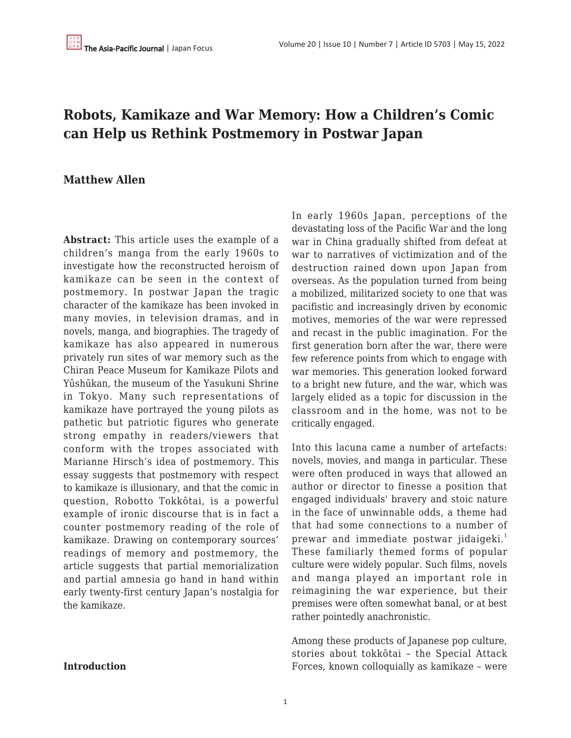# **Robots, Kamikaze and War Memory: How a Children's Comic can Help us Rethink Postmemory in Postwar Japan**

### **Matthew Allen**

**Abstract:** This article uses the example of a children's manga from the early 1960s to investigate how the reconstructed heroism of kamikaze can be seen in the context of postmemory. In postwar Japan the tragic character of the kamikaze has been invoked in many movies, in television dramas, and in novels, manga, and biographies. The tragedy of kamikaze has also appeared in numerous privately run sites of war memory such as the Chiran Peace Museum for Kamikaze Pilots and Yūshūkan, the museum of the Yasukuni Shrine in Tokyo. Many such representations of kamikaze have portrayed the young pilots as pathetic but patriotic figures who generate strong empathy in readers/viewers that conform with the tropes associated with Marianne Hirsch's idea of postmemory. This essay suggests that postmemory with respect to kamikaze is illusionary, and that the comic in question, Robotto Tokkōtai, is a powerful example of ironic discourse that is in fact a counter postmemory reading of the role of kamikaze. Drawing on contemporary sources' readings of memory and postmemory, the article suggests that partial memorialization and partial amnesia go hand in hand within early twenty-first century Japan's nostalgia for the kamikaze.

**Introduction**

In early 1960s Japan, perceptions of the devastating loss of the Pacific War and the long war in China gradually shifted from defeat at war to narratives of victimization and of the destruction rained down upon Japan from overseas. As the population turned from being a mobilized, militarized society to one that was pacifistic and increasingly driven by economic motives, memories of the war were repressed and recast in the public imagination. For the first generation born after the war, there were few reference points from which to engage with war memories. This generation looked forward to a bright new future, and the war, which was largely elided as a topic for discussion in the classroom and in the home, was not to be critically engaged.

Into this lacuna came a number of artefacts: novels, movies, and manga in particular. These were often produced in ways that allowed an author or director to finesse a position that engaged individuals' bravery and stoic nature in the face of unwinnable odds, a theme had that had some connections to a number of prewar and immediate postwar jidaigeki.<sup>1</sup> These familiarly themed forms of popular culture were widely popular. Such films, novels and manga played an important role in reimagining the war experience, but their premises were often somewhat banal, or at best rather pointedly anachronistic.

Among these products of Japanese pop culture, stories about tokkōtai – the Special Attack Forces, known colloquially as kamikaze – were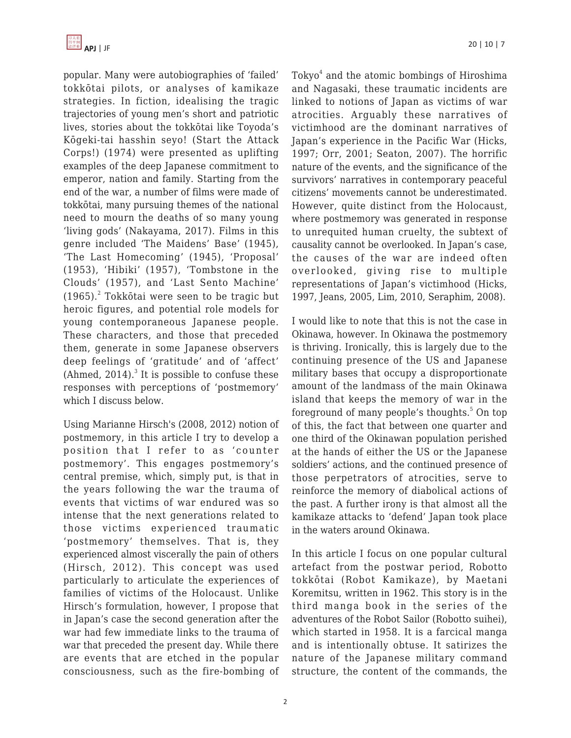popular. Many were autobiographies of 'failed' tokkōtai pilots, or analyses of kamikaze strategies. In fiction, idealising the tragic trajectories of young men's short and patriotic lives, stories about the tokkōtai like Toyoda's Kōgeki-tai hasshin seyo! (Start the Attack Corps!) (1974) were presented as uplifting examples of the deep Japanese commitment to emperor, nation and family. Starting from the end of the war, a number of films were made of tokkōtai, many pursuing themes of the national need to mourn the deaths of so many young 'living gods' (Nakayama, 2017). Films in this genre included 'The Maidens' Base' (1945), 'The Last Homecoming' (1945), 'Proposal' (1953), 'Hibiki' (1957), 'Tombstone in the Clouds' (1957), and 'Last Sento Machine'  $(1965).$ <sup>2</sup> Tokkōtai were seen to be tragic but heroic figures, and potential role models for young contemporaneous Japanese people. These characters, and those that preceded them, generate in some Japanese observers deep feelings of 'gratitude' and of 'affect' (Ahmed, 2014). $3$  It is possible to confuse these responses with perceptions of 'postmemory' which I discuss below.

Using Marianne Hirsch's (2008, 2012) notion of postmemory, in this article I try to develop a position that I refer to as 'counter postmemory'. This engages postmemory's central premise, which, simply put, is that in the years following the war the trauma of events that victims of war endured was so intense that the next generations related to those victims experienced traumatic 'postmemory' themselves. That is, they experienced almost viscerally the pain of others (Hirsch, 2012). This concept was used particularly to articulate the experiences of families of victims of the Holocaust. Unlike Hirsch's formulation, however, I propose that in Japan's case the second generation after the war had few immediate links to the trauma of war that preceded the present day. While there are events that are etched in the popular consciousness, such as the fire-bombing of

 $\text{Tokyo}^4$  and the atomic bombings of Hiroshima and Nagasaki, these traumatic incidents are linked to notions of Japan as victims of war atrocities. Arguably these narratives of victimhood are the dominant narratives of Japan's experience in the Pacific War (Hicks, 1997; Orr, 2001; Seaton, 2007). The horrific nature of the events, and the significance of the survivors' narratives in contemporary peaceful citizens' movements cannot be underestimated. However, quite distinct from the Holocaust, where postmemory was generated in response to unrequited human cruelty, the subtext of causality cannot be overlooked. In Japan's case, the causes of the war are indeed often overlooked, giving rise to multiple representations of Japan's victimhood (Hicks, 1997, Jeans, 2005, Lim, 2010, Seraphim, 2008).

I would like to note that this is not the case in Okinawa, however. In Okinawa the postmemory is thriving. Ironically, this is largely due to the continuing presence of the US and Japanese military bases that occupy a disproportionate amount of the landmass of the main Okinawa island that keeps the memory of war in the foreground of many people's thoughts.<sup>5</sup> On top of this, the fact that between one quarter and one third of the Okinawan population perished at the hands of either the US or the Japanese soldiers' actions, and the continued presence of those perpetrators of atrocities, serve to reinforce the memory of diabolical actions of the past. A further irony is that almost all the kamikaze attacks to 'defend' Japan took place in the waters around Okinawa.

In this article I focus on one popular cultural artefact from the postwar period, Robotto tokkōtai (Robot Kamikaze), by Maetani Koremitsu, written in 1962. This story is in the third manga book in the series of the adventures of the Robot Sailor (Robotto suihei), which started in 1958. It is a farcical manga and is intentionally obtuse. It satirizes the nature of the Japanese military command structure, the content of the commands, the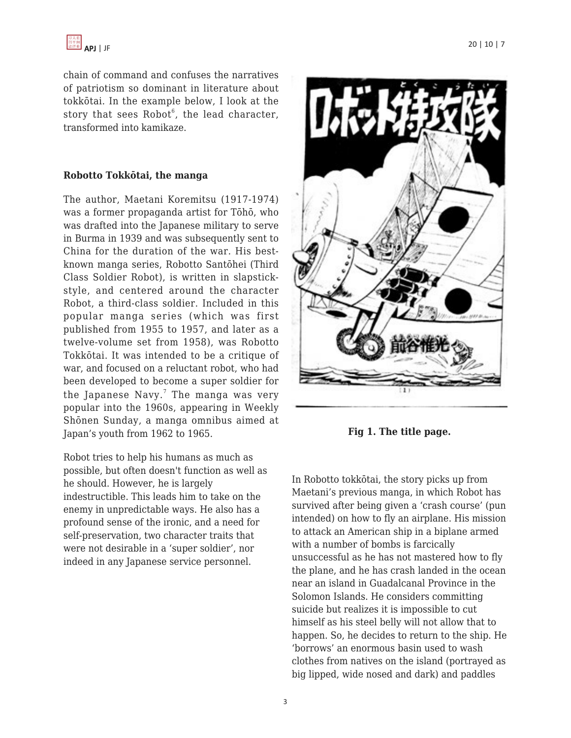chain of command and confuses the narratives of patriotism so dominant in literature about tokkōtai. In the example below, I look at the story that sees  $Robot^6$ , the lead character, transformed into kamikaze.

#### **Robotto Tokkōtai, the manga**

The author, Maetani Koremitsu (1917-1974) was a former propaganda artist for Tōhō, who was drafted into the Japanese military to serve in Burma in 1939 and was subsequently sent to China for the duration of the war. His bestknown manga series, Robotto Santōhei (Third Class Soldier Robot), is written in slapstickstyle, and centered around the character Robot, a third-class soldier. Included in this popular manga series (which was first published from 1955 to 1957, and later as a twelve-volume set from 1958), was Robotto Tokkōtai. It was intended to be a critique of war, and focused on a reluctant robot, who had been developed to become a super soldier for the Japanese Navy. $^7$  The manga was very popular into the 1960s, appearing in Weekly Shōnen Sunday, a manga omnibus aimed at Japan's youth from 1962 to 1965.

Robot tries to help his humans as much as possible, but often doesn't function as well as he should. However, he is largely indestructible. This leads him to take on the enemy in unpredictable ways. He also has a profound sense of the ironic, and a need for self-preservation, two character traits that were not desirable in a 'super soldier', nor indeed in any Japanese service personnel.



**Fig 1. The title page.**

In Robotto tokkōtai, the story picks up from Maetani's previous manga, in which Robot has survived after being given a 'crash course' (pun intended) on how to fly an airplane. His mission to attack an American ship in a biplane armed with a number of bombs is farcically unsuccessful as he has not mastered how to fly the plane, and he has crash landed in the ocean near an island in Guadalcanal Province in the Solomon Islands. He considers committing suicide but realizes it is impossible to cut himself as his steel belly will not allow that to happen. So, he decides to return to the ship. He 'borrows' an enormous basin used to wash clothes from natives on the island (portrayed as big lipped, wide nosed and dark) and paddles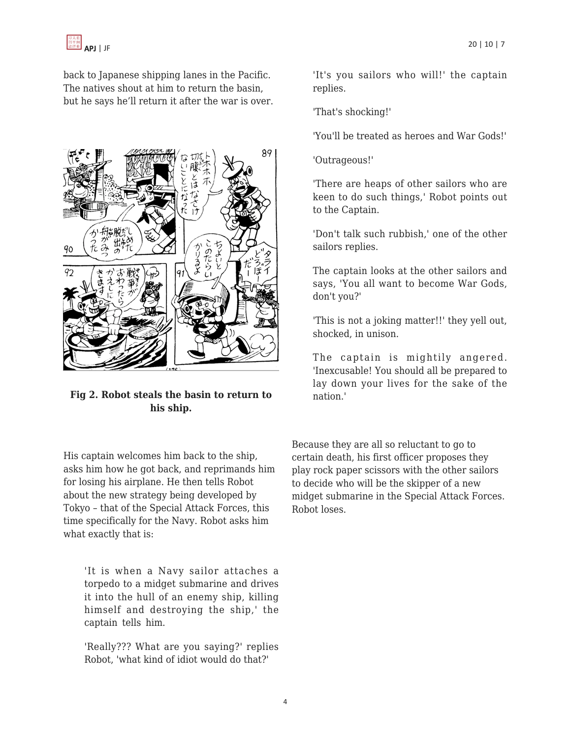

back to Japanese shipping lanes in the Pacific. The natives shout at him to return the basin, but he says he'll return it after the war is over.



**Fig 2. Robot steals the basin to return to his ship.**

His captain welcomes him back to the ship, asks him how he got back, and reprimands him for losing his airplane. He then tells Robot about the new strategy being developed by Tokyo – that of the Special Attack Forces, this time specifically for the Navy. Robot asks him what exactly that is:

'It is when a Navy sailor attaches a torpedo to a midget submarine and drives it into the hull of an enemy ship, killing himself and destroying the ship,' the captain tells him.

'Really??? What are you saying?' replies Robot, 'what kind of idiot would do that?'

'It's you sailors who will!' the captain replies.

'That's shocking!'

'You'll be treated as heroes and War Gods!'

'Outrageous!'

'There are heaps of other sailors who are keen to do such things,' Robot points out to the Captain.

'Don't talk such rubbish,' one of the other sailors replies.

The captain looks at the other sailors and says, 'You all want to become War Gods, don't you?'

'This is not a joking matter!!' they yell out, shocked, in unison.

The captain is mightily angered. 'Inexcusable! You should all be prepared to lay down your lives for the sake of the nation.'

Because they are all so reluctant to go to certain death, his first officer proposes they play rock paper scissors with the other sailors to decide who will be the skipper of a new midget submarine in the Special Attack Forces. Robot loses.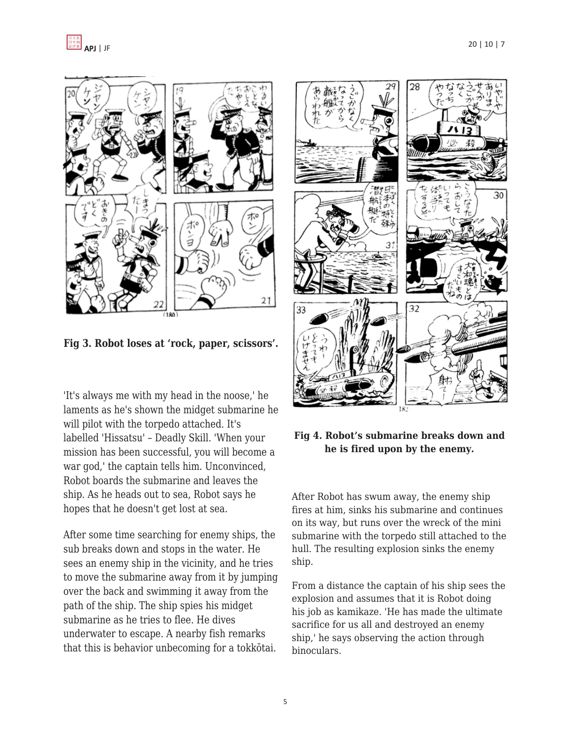

**Fig 3. Robot loses at 'rock, paper, scissors'.**

'It's always me with my head in the noose,' he laments as he's shown the midget submarine he will pilot with the torpedo attached. It's labelled 'Hissatsu' – Deadly Skill. 'When your mission has been successful, you will become a war god,' the captain tells him. Unconvinced, Robot boards the submarine and leaves the ship. As he heads out to sea, Robot says he hopes that he doesn't get lost at sea.

After some time searching for enemy ships, the sub breaks down and stops in the water. He sees an enemy ship in the vicinity, and he tries to move the submarine away from it by jumping over the back and swimming it away from the path of the ship. The ship spies his midget submarine as he tries to flee. He dives underwater to escape. A nearby fish remarks that this is behavior unbecoming for a tokkōtai.



# **Fig 4. Robot's submarine breaks down and he is fired upon by the enemy.**

After Robot has swum away, the enemy ship fires at him, sinks his submarine and continues on its way, but runs over the wreck of the mini submarine with the torpedo still attached to the hull. The resulting explosion sinks the enemy ship.

From a distance the captain of his ship sees the explosion and assumes that it is Robot doing his job as kamikaze. 'He has made the ultimate sacrifice for us all and destroyed an enemy ship,' he says observing the action through binoculars.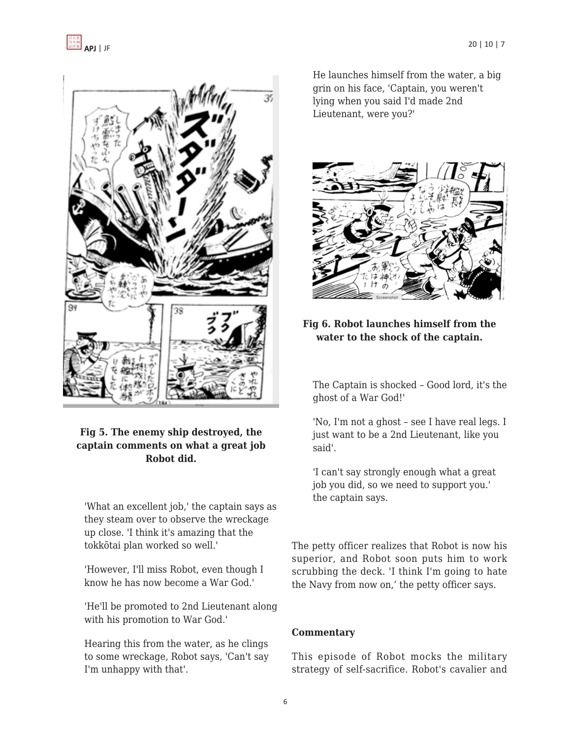

# **Fig 5. The enemy ship destroyed, the captain comments on what a great job Robot did.**

'What an excellent job,' the captain says as they steam over to observe the wreckage up close. 'I think it's amazing that the tokkōtai plan worked so well.'

'However, I'll miss Robot, even though I know he has now become a War God.'

'He'll be promoted to 2nd Lieutenant along with his promotion to War God.'

Hearing this from the water, as he clings to some wreckage, Robot says, 'Can't say I'm unhappy with that'.

He launches himself from the water, a big grin on his face, 'Captain, you weren't lying when you said I'd made 2nd Lieutenant, were you?'



# **Fig 6. Robot launches himself from the water to the shock of the captain.**

The Captain is shocked – Good lord, it's the ghost of a War God!'

'No, I'm not a ghost – see I have real legs. I just want to be a 2nd Lieutenant, like you said'.

'I can't say strongly enough what a great job you did, so we need to support you.' the captain says.

The petty officer realizes that Robot is now his superior, and Robot soon puts him to work scrubbing the deck. 'I think I'm going to hate the Navy from now on,' the petty officer says.

#### **Commentary**

This episode of Robot mocks the military strategy of self-sacrifice. Robot's cavalier and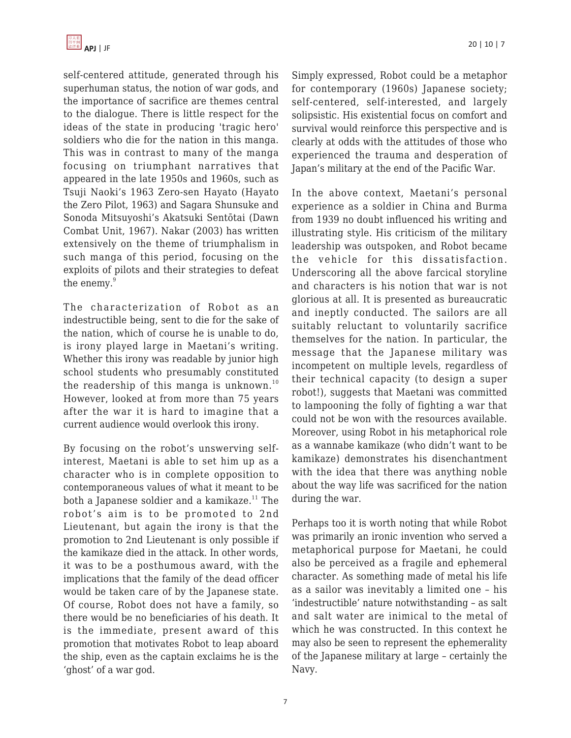self-centered attitude, generated through his superhuman status, the notion of war gods, and the importance of sacrifice are themes central to the dialogue. There is little respect for the ideas of the state in producing 'tragic hero' soldiers who die for the nation in this manga. This was in contrast to many of the manga focusing on triumphant narratives that appeared in the late 1950s and 1960s, such as Tsuji Naoki's 1963 Zero-sen Hayato (Hayato the Zero Pilot, 1963) and Sagara Shunsuke and Sonoda Mitsuyoshi's Akatsuki Sentōtai (Dawn Combat Unit, 1967). Nakar (2003) has written extensively on the theme of triumphalism in such manga of this period, focusing on the exploits of pilots and their strategies to defeat the enemy.<sup>9</sup>

The characterization of Robot as an indestructible being, sent to die for the sake of the nation, which of course he is unable to do, is irony played large in Maetani's writing. Whether this irony was readable by junior high school students who presumably constituted the readership of this manga is unknown.<sup>10</sup> However, looked at from more than 75 years after the war it is hard to imagine that a current audience would overlook this irony.

By focusing on the robot's unswerving selfinterest, Maetani is able to set him up as a character who is in complete opposition to contemporaneous values of what it meant to be both a Japanese soldier and a kamikaze. $11$  The robot's aim is to be promoted to 2nd Lieutenant, but again the irony is that the promotion to 2nd Lieutenant is only possible if the kamikaze died in the attack. In other words, it was to be a posthumous award, with the implications that the family of the dead officer would be taken care of by the Japanese state. Of course, Robot does not have a family, so there would be no beneficiaries of his death. It is the immediate, present award of this promotion that motivates Robot to leap aboard the ship, even as the captain exclaims he is the 'ghost' of a war god.

Simply expressed, Robot could be a metaphor for contemporary (1960s) Japanese society; self-centered, self-interested, and largely solipsistic. His existential focus on comfort and survival would reinforce this perspective and is clearly at odds with the attitudes of those who experienced the trauma and desperation of Japan's military at the end of the Pacific War.

In the above context, Maetani's personal experience as a soldier in China and Burma from 1939 no doubt influenced his writing and illustrating style. His criticism of the military leadership was outspoken, and Robot became the vehicle for this dissatisfaction. Underscoring all the above farcical storyline and characters is his notion that war is not glorious at all. It is presented as bureaucratic and ineptly conducted. The sailors are all suitably reluctant to voluntarily sacrifice themselves for the nation. In particular, the message that the Japanese military was incompetent on multiple levels, regardless of their technical capacity (to design a super robot!), suggests that Maetani was committed to lampooning the folly of fighting a war that could not be won with the resources available. Moreover, using Robot in his metaphorical role as a wannabe kamikaze (who didn't want to be kamikaze) demonstrates his disenchantment with the idea that there was anything noble about the way life was sacrificed for the nation during the war.

Perhaps too it is worth noting that while Robot was primarily an ironic invention who served a metaphorical purpose for Maetani, he could also be perceived as a fragile and ephemeral character. As something made of metal his life as a sailor was inevitably a limited one – his 'indestructible' nature notwithstanding – as salt and salt water are inimical to the metal of which he was constructed. In this context he may also be seen to represent the ephemerality of the Japanese military at large – certainly the Navy.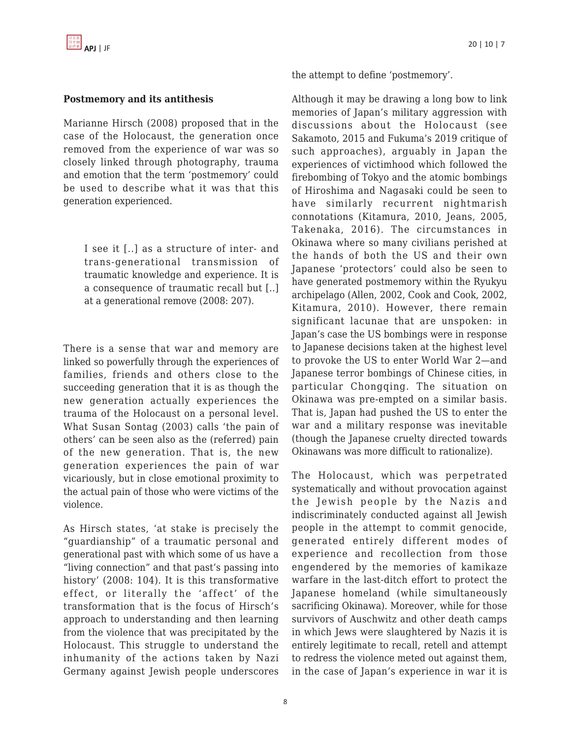#### **Postmemory and its antithesis**

Marianne Hirsch (2008) proposed that in the case of the Holocaust, the generation once removed from the experience of war was so closely linked through photography, trauma and emotion that the term 'postmemory' could be used to describe what it was that this generation experienced.

I see it [..] as a structure of inter- and trans-generational transmission of traumatic knowledge and experience. It is a consequence of traumatic recall but [..] at a generational remove (2008: 207).

There is a sense that war and memory are linked so powerfully through the experiences of families, friends and others close to the succeeding generation that it is as though the new generation actually experiences the trauma of the Holocaust on a personal level. What Susan Sontag (2003) calls 'the pain of others' can be seen also as the (referred) pain of the new generation. That is, the new generation experiences the pain of war vicariously, but in close emotional proximity to the actual pain of those who were victims of the violence.

As Hirsch states, 'at stake is precisely the "guardianship" of a traumatic personal and generational past with which some of us have a "living connection" and that past's passing into history' (2008: 104). It is this transformative effect, or literally the 'affect' of the transformation that is the focus of Hirsch's approach to understanding and then learning from the violence that was precipitated by the Holocaust. This struggle to understand the inhumanity of the actions taken by Nazi Germany against Jewish people underscores the attempt to define 'postmemory'.

Although it may be drawing a long bow to link memories of Japan's military aggression with discussions about the Holocaust (see Sakamoto, 2015 and Fukuma's 2019 critique of such approaches), arguably in Japan the experiences of victimhood which followed the firebombing of Tokyo and the atomic bombings of Hiroshima and Nagasaki could be seen to have similarly recurrent nightmarish connotations (Kitamura, 2010, Jeans, 2005, Takenaka, 2016). The circumstances in Okinawa where so many civilians perished at the hands of both the US and their own Japanese 'protectors' could also be seen to have generated postmemory within the Ryukyu archipelago (Allen, 2002, Cook and Cook, 2002, Kitamura, 2010). However, there remain significant lacunae that are unspoken: in Japan's case the US bombings were in response to Japanese decisions taken at the highest level to provoke the US to enter World War 2—and Japanese terror bombings of Chinese cities, in particular Chongqing. The situation on Okinawa was pre-empted on a similar basis. That is, Japan had pushed the US to enter the war and a military response was inevitable (though the Japanese cruelty directed towards Okinawans was more difficult to rationalize).

The Holocaust, which was perpetrated systematically and without provocation against the Jewish people by the Nazis and indiscriminately conducted against all Jewish people in the attempt to commit genocide, generated entirely different modes of experience and recollection from those engendered by the memories of kamikaze warfare in the last-ditch effort to protect the Japanese homeland (while simultaneously sacrificing Okinawa). Moreover, while for those survivors of Auschwitz and other death camps in which Jews were slaughtered by Nazis it is entirely legitimate to recall, retell and attempt to redress the violence meted out against them, in the case of Japan's experience in war it is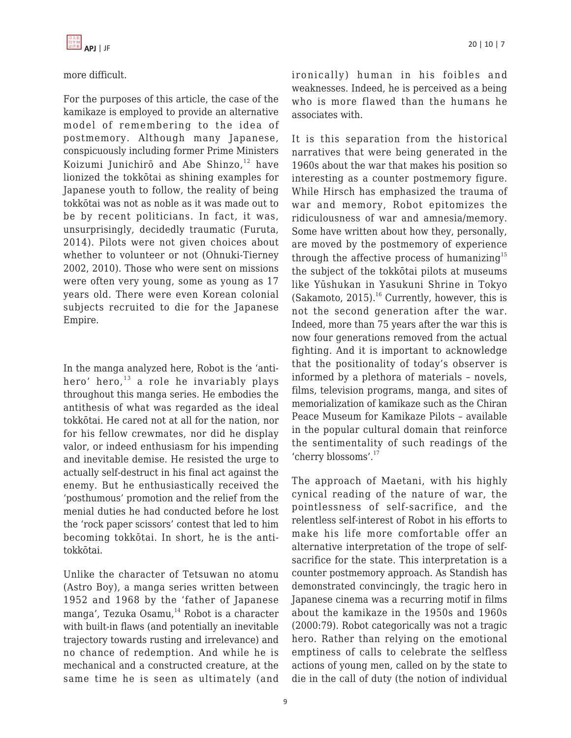

#### more difficult.

For the purposes of this article, the case of the kamikaze is employed to provide an alternative model of remembering to the idea of postmemory. Although many Japanese, conspicuously including former Prime Ministers Koizumi Junichirō and Abe Shinzo, $12$  have lionized the tokkōtai as shining examples for Japanese youth to follow, the reality of being tokkōtai was not as noble as it was made out to be by recent politicians. In fact, it was, unsurprisingly, decidedly traumatic (Furuta, 2014). Pilots were not given choices about whether to volunteer or not (Ohnuki-Tierney 2002, 2010). Those who were sent on missions were often very young, some as young as 17 years old. There were even Korean colonial subjects recruited to die for the Japanese Empire.

In the manga analyzed here, Robot is the 'antihero' hero, $13$  a role he invariably plays throughout this manga series. He embodies the antithesis of what was regarded as the ideal tokkōtai. He cared not at all for the nation, nor for his fellow crewmates, nor did he display valor, or indeed enthusiasm for his impending and inevitable demise. He resisted the urge to actually self-destruct in his final act against the enemy. But he enthusiastically received the 'posthumous' promotion and the relief from the menial duties he had conducted before he lost the 'rock paper scissors' contest that led to him becoming tokkōtai. In short, he is the antitokkōtai.

Unlike the character of Tetsuwan no atomu (Astro Boy), a manga series written between 1952 and 1968 by the 'father of Japanese manga', Tezuka Osamu,<sup>14</sup> Robot is a character with built-in flaws (and potentially an inevitable trajectory towards rusting and irrelevance) and no chance of redemption. And while he is mechanical and a constructed creature, at the same time he is seen as ultimately (and

ironically) human in his foibles and weaknesses. Indeed, he is perceived as a being who is more flawed than the humans he associates with.

It is this separation from the historical narratives that were being generated in the 1960s about the war that makes his position so interesting as a counter postmemory figure. While Hirsch has emphasized the trauma of war and memory, Robot epitomizes the ridiculousness of war and amnesia/memory. Some have written about how they, personally, are moved by the postmemory of experience through the affective process of humanizing<sup>15</sup> the subject of the tokkōtai pilots at museums like Yūshukan in Yasukuni Shrine in Tokyo (Sakamoto, 2015).<sup>16</sup> Currently, however, this is not the second generation after the war. Indeed, more than 75 years after the war this is now four generations removed from the actual fighting. And it is important to acknowledge that the positionality of today's observer is informed by a plethora of materials – novels, films, television programs, manga, and sites of memorialization of kamikaze such as the Chiran Peace Museum for Kamikaze Pilots – available in the popular cultural domain that reinforce the sentimentality of such readings of the 'cherry blossoms'.<sup>17</sup>

The approach of Maetani, with his highly cynical reading of the nature of war, the pointlessness of self-sacrifice, and the relentless self-interest of Robot in his efforts to make his life more comfortable offer an alternative interpretation of the trope of selfsacrifice for the state. This interpretation is a counter postmemory approach. As Standish has demonstrated convincingly, the tragic hero in Japanese cinema was a recurring motif in films about the kamikaze in the 1950s and 1960s (2000:79). Robot categorically was not a tragic hero. Rather than relying on the emotional emptiness of calls to celebrate the selfless actions of young men, called on by the state to die in the call of duty (the notion of individual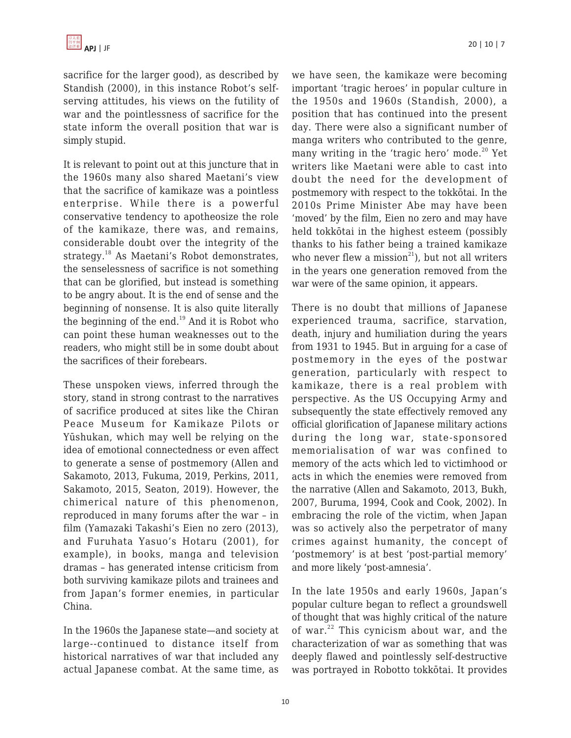sacrifice for the larger good), as described by Standish (2000), in this instance Robot's selfserving attitudes, his views on the futility of war and the pointlessness of sacrifice for the state inform the overall position that war is simply stupid.

It is relevant to point out at this juncture that in the 1960s many also shared Maetani's view that the sacrifice of kamikaze was a pointless enterprise. While there is a powerful conservative tendency to apotheosize the role of the kamikaze, there was, and remains, considerable doubt over the integrity of the strategy.<sup>18</sup> As Maetani's Robot demonstrates, the senselessness of sacrifice is not something that can be glorified, but instead is something to be angry about. It is the end of sense and the beginning of nonsense. It is also quite literally the beginning of the end. $19$  And it is Robot who can point these human weaknesses out to the readers, who might still be in some doubt about the sacrifices of their forebears.

These unspoken views, inferred through the story, stand in strong contrast to the narratives of sacrifice produced at sites like the Chiran Peace Museum for Kamikaze Pilots or Yūshukan, which may well be relying on the idea of emotional connectedness or even affect to generate a sense of postmemory (Allen and Sakamoto, 2013, Fukuma, 2019, Perkins, 2011, Sakamoto, 2015, Seaton, 2019). However, the chimerical nature of this phenomenon, reproduced in many forums after the war – in film (Yamazaki Takashi's Eien no zero (2013), and Furuhata Yasuo's Hotaru (2001), for example), in books, manga and television dramas – has generated intense criticism from both surviving kamikaze pilots and trainees and from Japan's former enemies, in particular China.

In the 1960s the Japanese state—and society at large--continued to distance itself from historical narratives of war that included any actual Japanese combat. At the same time, as we have seen, the kamikaze were becoming important 'tragic heroes' in popular culture in the 1950s and 1960s (Standish, 2000), a position that has continued into the present day. There were also a significant number of manga writers who contributed to the genre, many writing in the 'tragic hero' mode. $20$  Yet writers like Maetani were able to cast into doubt the need for the development of postmemory with respect to the tokkōtai. In the 2010s Prime Minister Abe may have been 'moved' by the film, Eien no zero and may have held tokkōtai in the highest esteem (possibly thanks to his father being a trained kamikaze who never flew a mission<sup>21</sup>), but not all writers in the years one generation removed from the war were of the same opinion, it appears.

There is no doubt that millions of Japanese experienced trauma, sacrifice, starvation, death, injury and humiliation during the years from 1931 to 1945. But in arguing for a case of postmemory in the eyes of the postwar generation, particularly with respect to kamikaze, there is a real problem with perspective. As the US Occupying Army and subsequently the state effectively removed any official glorification of Japanese military actions during the long war, state-sponsored memorialisation of war was confined to memory of the acts which led to victimhood or acts in which the enemies were removed from the narrative (Allen and Sakamoto, 2013, Bukh, 2007, Buruma, 1994, Cook and Cook, 2002). In embracing the role of the victim, when Japan was so actively also the perpetrator of many crimes against humanity, the concept of 'postmemory' is at best 'post-partial memory' and more likely 'post-amnesia'.

In the late 1950s and early 1960s, Japan's popular culture began to reflect a groundswell of thought that was highly critical of the nature of war. $22$  This cynicism about war, and the characterization of war as something that was deeply flawed and pointlessly self-destructive was portrayed in Robotto tokkōtai. It provides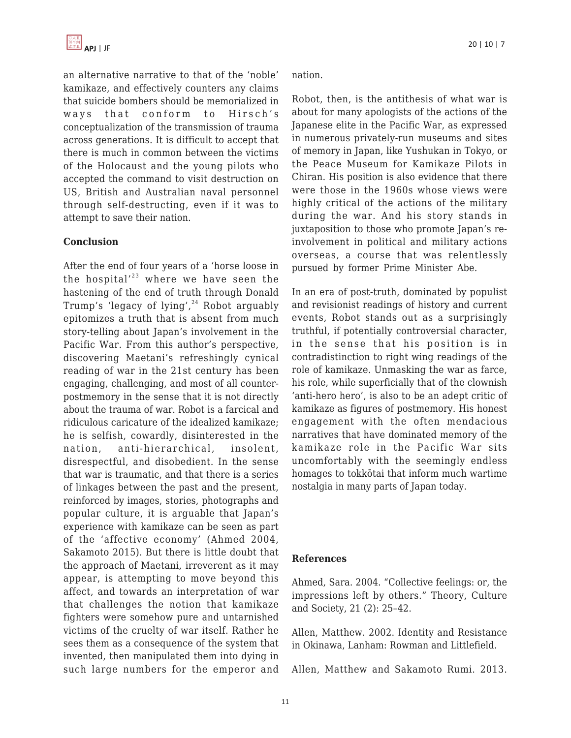an alternative narrative to that of the 'noble' kamikaze, and effectively counters any claims that suicide bombers should be memorialized in ways that conform to Hirsch's conceptualization of the transmission of trauma across generations. It is difficult to accept that there is much in common between the victims of the Holocaust and the young pilots who accepted the command to visit destruction on US, British and Australian naval personnel through self-destructing, even if it was to attempt to save their nation.

#### **Conclusion**

After the end of four years of a 'horse loose in the hospital' $^{23}$  where we have seen the hastening of the end of truth through Donald Trump's 'legacy of lying', $24$  Robot arguably epitomizes a truth that is absent from much story-telling about Japan's involvement in the Pacific War. From this author's perspective, discovering Maetani's refreshingly cynical reading of war in the 21st century has been engaging, challenging, and most of all counterpostmemory in the sense that it is not directly about the trauma of war. Robot is a farcical and ridiculous caricature of the idealized kamikaze; he is selfish, cowardly, disinterested in the nation, anti-hierarchical, insolent, disrespectful, and disobedient. In the sense that war is traumatic, and that there is a series of linkages between the past and the present, reinforced by images, stories, photographs and popular culture, it is arguable that Japan's experience with kamikaze can be seen as part of the 'affective economy' (Ahmed 2004, Sakamoto 2015). But there is little doubt that the approach of Maetani, irreverent as it may appear, is attempting to move beyond this affect, and towards an interpretation of war that challenges the notion that kamikaze fighters were somehow pure and untarnished victims of the cruelty of war itself. Rather he sees them as a consequence of the system that invented, then manipulated them into dying in such large numbers for the emperor and nation.

Robot, then, is the antithesis of what war is about for many apologists of the actions of the Japanese elite in the Pacific War, as expressed in numerous privately-run museums and sites of memory in Japan, like Yushukan in Tokyo, or the Peace Museum for Kamikaze Pilots in Chiran. His position is also evidence that there were those in the 1960s whose views were highly critical of the actions of the military during the war. And his story stands in juxtaposition to those who promote Japan's reinvolvement in political and military actions overseas, a course that was relentlessly pursued by former Prime Minister Abe.

In an era of post-truth, dominated by populist and revisionist readings of history and current events, Robot stands out as a surprisingly truthful, if potentially controversial character, in the sense that his position is in contradistinction to right wing readings of the role of kamikaze. Unmasking the war as farce, his role, while superficially that of the clownish 'anti-hero hero', is also to be an adept critic of kamikaze as figures of postmemory. His honest engagement with the often mendacious narratives that have dominated memory of the kamikaze role in the Pacific War sits uncomfortably with the seemingly endless homages to tokkōtai that inform much wartime nostalgia in many parts of Japan today.

#### **References**

Ahmed, Sara. 2004. "Collective feelings: or, the impressions left by others." Theory, Culture and Society, 21 (2): 25–42.

Allen, Matthew. 2002. Identity and Resistance in Okinawa, Lanham: Rowman and Littlefield.

Allen, Matthew and Sakamoto Rumi. 2013.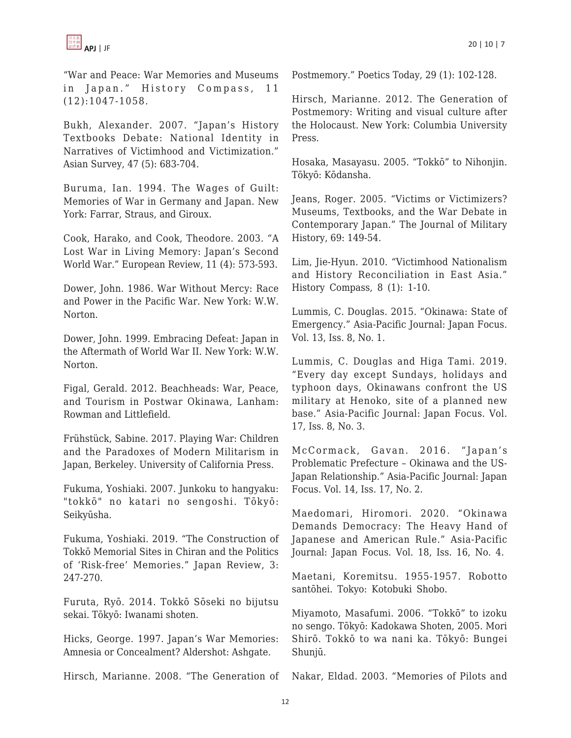

"War and Peace: War Memories and Museums in Japan." History Compass, 11 (12):1047-1058.

Bukh, Alexander. 2007. "Japan's History Textbooks Debate: National Identity in Narratives of Victimhood and Victimization." Asian Survey, 47 (5): 683-704.

Buruma, Ian. 1994. The Wages of Guilt: Memories of War in Germany and Japan. New York: Farrar, Straus, and Giroux.

Cook, Harako, and Cook, Theodore. 2003. "A Lost War in Living Memory: Japan's Second World War." European Review, 11 (4): 573-593.

Dower, John. 1986. War Without Mercy: Race and Power in the Pacific War. New York: W.W. Norton.

Dower, John. 1999. Embracing Defeat: Japan in the Aftermath of World War II. New York: W.W. Norton.

Figal, Gerald. 2012. Beachheads: War, Peace, and Tourism in Postwar Okinawa, Lanham: Rowman and Littlefield.

Frühstück, Sabine. 2017. Playing War: Children and the Paradoxes of Modern Militarism in Japan, Berkeley. University of California Press.

Fukuma, Yoshiaki. 2007. Junkoku to hangyaku: "tokkō" no katari no sengoshi. Tōkyō: Seikyūsha.

Fukuma, Yoshiaki. 2019. "The Construction of Tokkō Memorial Sites in Chiran and the Politics of 'Risk-free' Memories." Japan Review, 3: 247-270.

Furuta, Ryō. 2014. Tokkō Sōseki no bijutsu sekai. Tōkyō: Iwanami shoten.

Hicks, George. 1997. Japan's War Memories: Amnesia or Concealment? Aldershot: Ashgate.

Hirsch, Marianne. 2008. "The Generation of

Postmemory." Poetics Today, 29 (1): 102-128.

Hirsch, Marianne. 2012. The Generation of Postmemory: Writing and visual culture after the Holocaust. New York: Columbia University Press.

Hosaka, Masayasu. 2005. "Tokkō" to Nihonjin. Tōkyō: Kōdansha.

Jeans, Roger. 2005. "Victims or Victimizers? Museums, Textbooks, and the War Debate in Contemporary Japan." The Journal of Military History, 69: 149-54.

Lim, Jie-Hyun. 2010. "Victimhood Nationalism and History Reconciliation in East Asia." History Compass, 8 (1): 1-10.

Lummis, C. Douglas. 2015. "Okinawa: State of Emergency." Asia-Pacific Journal: Japan Focus. Vol. 13, Iss. 8, No. 1.

Lummis, C. Douglas and Higa Tami. 2019. "Every day except Sundays, holidays and typhoon days, Okinawans confront the US military at Henoko, site of a planned new base." Asia-Pacific Journal: Japan Focus. Vol. 17, Iss. 8, No. 3.

McCormack, Gavan. 2016. "Japan's Problematic Prefecture – Okinawa and the US-Japan Relationship." Asia-Pacific Journal: Japan Focus. Vol. 14, Iss. 17, No. 2.

Maedomari, Hiromori. 2020. "Okinawa Demands Democracy: The Heavy Hand of Japanese and American Rule." Asia-Pacific Journal: Japan Focus. Vol. 18, Iss. 16, No. 4.

Maetani, Koremitsu. 1955-1957. Robotto santōhei. Tokyo: Kotobuki Shobo.

Miyamoto, Masafumi. 2006. "Tokkō" to izoku no sengo. Tōkyō: Kadokawa Shoten, 2005. Mori Shirō. Tokkō to wa nani ka. Tōkyō: Bungei Shunjū.

Nakar, Eldad. 2003. "Memories of Pilots and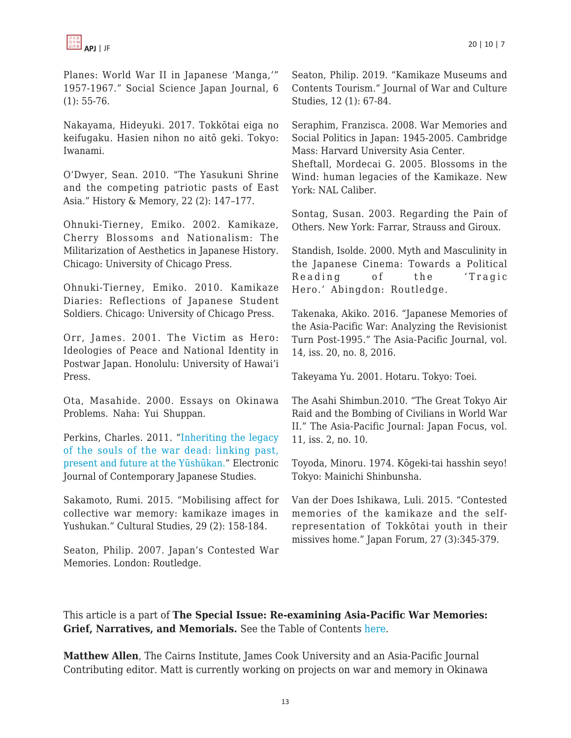

Planes: World War II in Japanese 'Manga,'" 1957-1967." Social Science Japan Journal, 6 (1): 55-76.

Nakayama, Hideyuki. 2017. Tokkōtai eiga no keifugaku. Hasien nihon no aitō geki. Tokyo: Iwanami.

O'Dwyer, Sean. 2010. "The Yasukuni Shrine and the competing patriotic pasts of East Asia." History & Memory, 22 (2): 147–177.

Ohnuki-Tierney, Emiko. 2002. Kamikaze, Cherry Blossoms and Nationalism: The Militarization of Aesthetics in Japanese History. Chicago: University of Chicago Press.

Ohnuki-Tierney, Emiko. 2010. Kamikaze Diaries: Reflections of Japanese Student Soldiers. Chicago: University of Chicago Press.

Orr, James. 2001. The Victim as Hero: Ideologies of Peace and National Identity in Postwar Japan. Honolulu: University of Hawai'i Press.

Ota, Masahide. 2000. Essays on Okinawa Problems. Naha: Yui Shuppan.

Perkins, Charles. 2011. "[Inheriting the legacy](http://www.japanesestudies.org.uk/articles/2011/Perkins.html) [of the souls of the war dead: linking past,](http://www.japanesestudies.org.uk/articles/2011/Perkins.html) [present and future at the Yūshūkan."](http://www.japanesestudies.org.uk/articles/2011/Perkins.html) Electronic Journal of Contemporary Japanese Studies.

Sakamoto, Rumi. 2015. "Mobilising affect for collective war memory: kamikaze images in Yushukan." Cultural Studies, 29 (2): 158-184.

Seaton, Philip. 2007. Japan's Contested War Memories. London: Routledge.

Seaton, Philip. 2019. "Kamikaze Museums and Contents Tourism." Journal of War and Culture Studies, 12 (1): 67-84.

Seraphim, Franzisca. 2008. War Memories and Social Politics in Japan: 1945-2005. Cambridge Mass: Harvard University Asia Center.

Sheftall, Mordecai G. 2005. Blossoms in the Wind: human legacies of the Kamikaze. New York: NAL Caliber.

Sontag, Susan. 2003. Regarding the Pain of Others. New York: Farrar, Strauss and Giroux.

Standish, Isolde. 2000. Myth and Masculinity in the Japanese Cinema: Towards a Political Reading of the 'Tragic Hero.' Abingdon: Routledge.

Takenaka, Akiko. 2016. "Japanese Memories of the Asia-Pacific War: Analyzing the Revisionist Turn Post-1995." The Asia-Pacific Journal, vol. 14, iss. 20, no. 8, 2016.

Takeyama Yu. 2001. Hotaru. Tokyo: Toei.

The Asahi Shimbun.2010. "The Great Tokyo Air Raid and the Bombing of Civilians in World War II." The Asia-Pacific Journal: Japan Focus, vol. 11, iss. 2, no. 10.

Toyoda, Minoru. 1974. Kōgeki-tai hasshin seyo! Tokyo: Mainichi Shinbunsha.

Van der Does Ishikawa, Luli. 2015. "Contested memories of the kamikaze and the selfrepresentation of Tokkōtai youth in their missives home." Japan Forum, 27 (3):345-379.

This article is a part of **The Special Issue: Re-examining Asia-Pacific War Memories: Grief, Narratives, and Memorials.** See the Table of Contents [here.](https://apjjf.org/2022/10/ToC.html)

**Matthew Allen**, The Cairns Institute, James Cook University and an Asia-Pacific Journal Contributing editor. Matt is currently working on projects on war and memory in Okinawa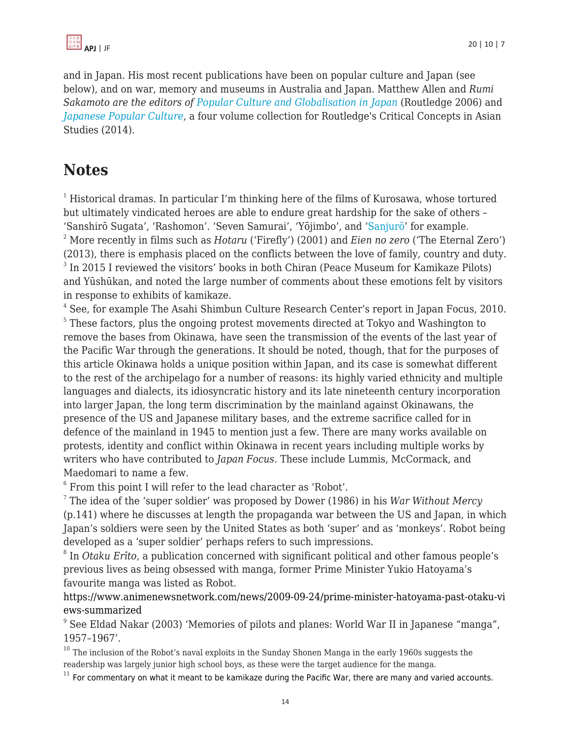

and in Japan. His most recent publications have been on popular culture and Japan (see below), and on war, memory and museums in Australia and Japan. Matthew Allen and *Rumi Sakamoto are the editors of [Popular Culture and Globalisation in Japan](http://www.amzn.com/dp/0415368987/?tag=theasipacjo0b-20)* (Routledge 2006) and *[Japanese Popular Culture](http://www.routledge.com/books/details/9780415827898/)*, a four volume collection for Routledge's Critical Concepts in Asian Studies (2014)*.*

# **Notes**

 $1$  Historical dramas. In particular I'm thinking here of the films of Kurosawa, whose tortured but ultimately vindicated heroes are able to endure great hardship for the sake of others – 'Sanshirō Sugata', 'Rashomon'. 'Seven Samurai', 'Yōjimbo', and '[Sanjurō'](https://en.wikipedia.org/wiki/Sanjuro) for example. <sup>2</sup> More recently in films such as *Hotaru* ('Firefly') (2001) and *Eien no zero* ('The Eternal Zero') (2013), there is emphasis placed on the conflicts between the love of family, country and duty. <sup>3</sup> In 2015 I reviewed the visitors' books in both Chiran (Peace Museum for Kamikaze Pilots) and Yūshūkan, and noted the large number of comments about these emotions felt by visitors in response to exhibits of kamikaze.

4 See, for example The Asahi Shimbun Culture Research Center's report in Japan Focus, 2010. <sup>5</sup> These factors, plus the ongoing protest movements directed at Tokyo and Washington to remove the bases from Okinawa, have seen the transmission of the events of the last year of the Pacific War through the generations. It should be noted, though, that for the purposes of this article Okinawa holds a unique position within Japan, and its case is somewhat different to the rest of the archipelago for a number of reasons: its highly varied ethnicity and multiple languages and dialects, its idiosyncratic history and its late nineteenth century incorporation into larger Japan, the long term discrimination by the mainland against Okinawans, the presence of the US and Japanese military bases, and the extreme sacrifice called for in defence of the mainland in 1945 to mention just a few. There are many works available on protests, identity and conflict within Okinawa in recent years including multiple works by writers who have contributed to *Japan Focus.* These include Lummis, McCormack, and Maedomari to name a few.

6 From this point I will refer to the lead character as 'Robot'.

7 The idea of the 'super soldier' was proposed by Dower (1986) in his *War Without Mercy* (p.141) where he discusses at length the propaganda war between the US and Japan, in which Japan's soldiers were seen by the United States as both 'super' and as 'monkeys'. Robot being developed as a 'super soldier' perhaps refers to such impressions.

8 In *Otaku Erīto*, a publication concerned with significant political and other famous people's previous lives as being obsessed with manga, former Prime Minister Yukio Hatoyama's favourite manga was listed as Robot.

[https://www.animenewsnetwork.com/news/2009-09-24/prime-minister-hatoyama-past-otaku-vi](https://www.animenewsnetwork.com/news/2009-09-24/prime-minister-hatoyama-past-otaku-views-summarized) [ews-summarized](https://www.animenewsnetwork.com/news/2009-09-24/prime-minister-hatoyama-past-otaku-views-summarized)

<sup>9</sup> See Eldad Nakar (2003) 'Memories of pilots and planes: World War II in Japanese "manga", 1957–1967'.

 $10$  The inclusion of the Robot's naval exploits in the Sunday Shonen Manga in the early 1960s suggests the readership was largely junior high school boys, as these were the target audience for the manga.

 $11$  For commentary on what it meant to be kamikaze during the Pacific War, there are many and varied accounts.